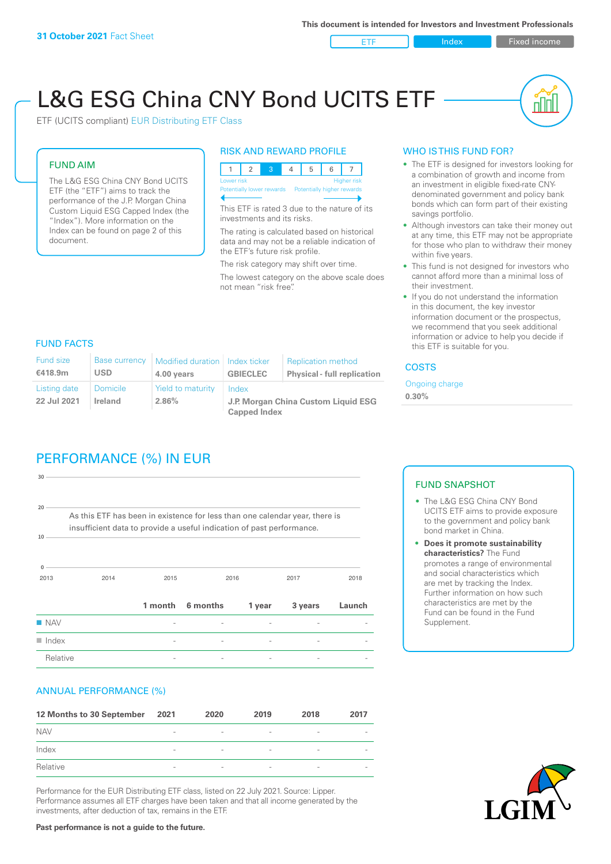ETF Index Fixed income

nl Inl

# L&G ESG China CNY Bond UCITS ETF

ETF (UCITS compliant) EUR Distributing ETF Class

### FUND AIM

The L&G ESG China CNY Bond UCITS ETF (the "ETF") aims to track the performance of the J.P. Morgan China Custom Liquid ESG Capped Index (the "Index"). More information on the Index can be found on page 2 of this document.

#### RISK AND REWARD PROFILE



This ETF is rated 3 due to the nature of its investments and its risks.

The rating is calculated based on historical data and may not be a reliable indication of the ETF's future risk profile.

The risk category may shift over time. The lowest category on the above scale does not mean "risk free".

### WHO IS THIS FUND FOR?

- The ETF is designed for investors looking for a combination of growth and income from an investment in eligible fixed-rate CNYdenominated government and policy bank bonds which can form part of their existing savings portfolio.
- Although investors can take their money out at any time, this ETF may not be appropriate for those who plan to withdraw their money within five years.
- This fund is not designed for investors who cannot afford more than a minimal loss of their investment.
- If you do not understand the information in this document, the key investor information document or the prospectus, we recommend that you seek additional information or advice to help you decide if this ETF is suitable for you.

### FUND FACTS

| <b>Fund size</b><br>€418.9m | <b>Base currency</b><br><b>USD</b> | Modified duration   Index ticker<br>4.00 years | <b>GBIECLEC</b>                              | <b>Replication method</b><br><b>Physical - full replication</b> | <b>COSTS</b>               |  |
|-----------------------------|------------------------------------|------------------------------------------------|----------------------------------------------|-----------------------------------------------------------------|----------------------------|--|
| Listing date<br>22 Jul 2021 | <b>Domicile</b><br><b>Ireland</b>  | Yield to maturity<br>2.86%                     | Index<br>J.P. Morgan China Custom Liquid ESG |                                                                 | Ongoing charge<br>$0.30\%$ |  |
|                             |                                    |                                                | <b>Capped Index</b>                          |                                                                 |                            |  |

### PERFORMANCE (%) IN EUR

| Relative                  |                                                                                                                                                      |         |          |        |         |        |
|---------------------------|------------------------------------------------------------------------------------------------------------------------------------------------------|---------|----------|--------|---------|--------|
| $\blacksquare$ Index      |                                                                                                                                                      |         |          |        |         |        |
| $\blacksquare$ NAV        |                                                                                                                                                      |         |          |        |         |        |
|                           |                                                                                                                                                      | 1 month | 6 months | 1 year | 3 years | Launch |
| 2013                      | 2014                                                                                                                                                 | 2015    |          | 2016   | 2017    | 2018   |
| 10 <sup>1</sup>           | As this ETF has been in existence for less than one calendar year, there is<br>insufficient data to provide a useful indication of past performance. |         |          |        |         |        |
| 30 <sub>1</sub><br>$20 -$ |                                                                                                                                                      |         |          |        |         |        |
|                           |                                                                                                                                                      |         |          |        |         |        |

### ANNUAL PERFORMANCE (%)

| 12 Months to 30 September | 2021                     | 2020                     | 2019                     | 2018                     | 2017                     |
|---------------------------|--------------------------|--------------------------|--------------------------|--------------------------|--------------------------|
| <b>NAV</b>                | $\overline{\phantom{0}}$ | $\overline{\phantom{a}}$ | $\overline{\phantom{a}}$ | $\overline{\phantom{a}}$ |                          |
| Index                     | $\overline{\phantom{a}}$ | $\overline{\phantom{a}}$ | $\overline{\phantom{a}}$ | $\overline{\phantom{a}}$ | $\overline{\phantom{a}}$ |
| Relative                  | $\overline{\phantom{a}}$ | $\sim$                   | $\overline{\phantom{a}}$ | $\sim$                   | $\overline{\phantom{a}}$ |

Performance for the EUR Distributing ETF class, listed on 22 July 2021. Source: Lipper. Performance assumes all ETF charges have been taken and that all income generated by the investments, after deduction of tax, remains in the ETF.

## FUND SNAPSHOT

- The L&G ESG China CNY Bond UCITS ETF aims to provide exposure to the government and policy bank bond market in China.
- **• Does it promote sustainability characteristics?** The Fund promotes a range of environmental and social characteristics which are met by tracking the Index. Further information on how such characteristics are met by the Fund can be found in the Fund Supplement.



**Past performance is not a guide to the future.**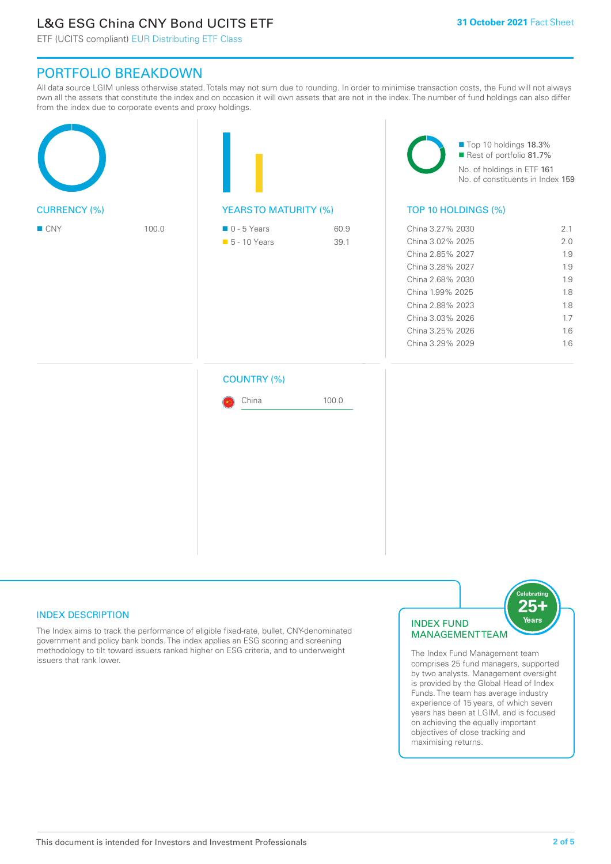### L&G ESG China CNY Bond UCITS ETF

ETF (UCITS compliant) EUR Distributing ETF Class

### PORTFOLIO BREAKDOWN

All data source LGIM unless otherwise stated. Totals may not sum due to rounding. In order to minimise transaction costs, the Fund will not always own all the assets that constitute the index and on occasion it will own assets that are not in the index. The number of fund holdings can also differ from the index due to corporate events and proxy holdings.

| <b>CURRENCY (%)</b> |       |                                              |              | Top 10 holdings 18.3%<br>Rest of portfolio 81.7%<br>No. of holdings in ETF 161<br>No. of constituents in Index 159                                                                                   |                                                                    |  |
|---------------------|-------|----------------------------------------------|--------------|------------------------------------------------------------------------------------------------------------------------------------------------------------------------------------------------------|--------------------------------------------------------------------|--|
|                     |       | <b>YEARSTO MATURITY (%)</b>                  |              | TOP 10 HOLDINGS (%)                                                                                                                                                                                  |                                                                    |  |
| $\blacksquare$ CNY  | 100.0 | $\blacksquare$ 0 - 5 Years<br>• 5 - 10 Years | 60.9<br>39.1 | China 3.27% 2030<br>China 3.02% 2025<br>China 2.85% 2027<br>China 3.28% 2027<br>China 2.68% 2030<br>China 1.99% 2025<br>China 2.88% 2023<br>China 3.03% 2026<br>China 3.25% 2026<br>China 3.29% 2029 | 2.1<br>2.0<br>1.9<br>1.9<br>1.9<br>1.8<br>1.8<br>1.7<br>1.6<br>1.6 |  |
|                     |       | <b>COUNTRY (%)</b><br>China                  | 100.0        |                                                                                                                                                                                                      |                                                                    |  |

### INDEX DESCRIPTION

The Index aims to track the performance of eligible fixed-rate, bullet, CNY-denominated government and policy bank bonds. The index applies an ESG scoring and screening methodology to tilt toward issuers ranked higher on ESG criteria, and to underweight issuers that rank lower.

### INDEX FUND MANAGEMENT TEAM



The Index Fund Management team comprises 25 fund managers, supported by two analysts. Management oversight is provided by the Global Head of Index Funds. The team has average industry experience of 15 years, of which seven years has been at LGIM, and is focused on achieving the equally important objectives of close tracking and maximising returns.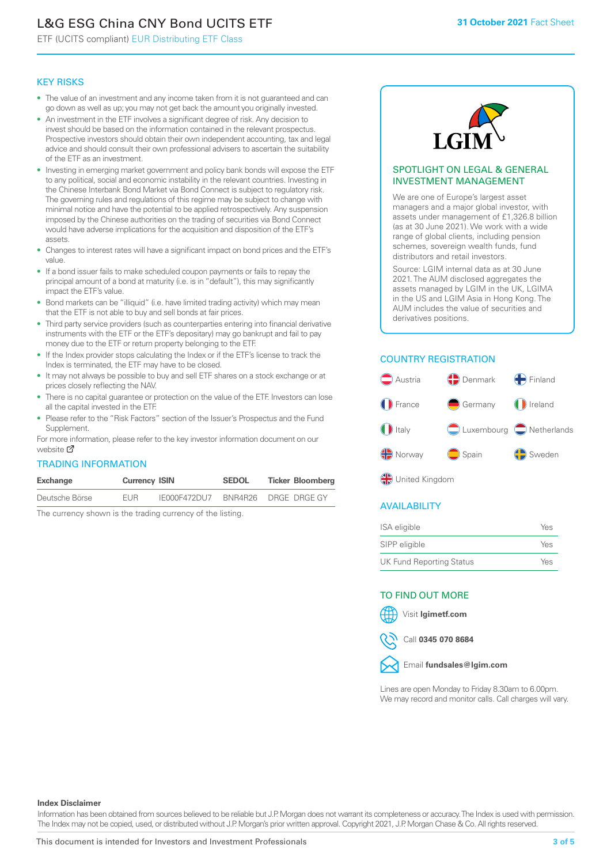## L&G ESG China CNY Bond UCITS ETF

ETF (UCITS compliant) EUR Distributing ETF Class

### KEY RISKS

- The value of an investment and any income taken from it is not guaranteed and can go down as well as up; you may not get back the amount you originally invested.
- An investment in the ETF involves a significant degree of risk. Any decision to invest should be based on the information contained in the relevant prospectus. Prospective investors should obtain their own independent accounting, tax and legal advice and should consult their own professional advisers to ascertain the suitability of the ETF as an investment.
- Investing in emerging market government and policy bank bonds will expose the ETF to any political, social and economic instability in the relevant countries. Investing in the Chinese Interbank Bond Market via Bond Connect is subject to regulatory risk. The governing rules and regulations of this regime may be subject to change with minimal notice and have the potential to be applied retrospectively. Any suspension imposed by the Chinese authorities on the trading of securities via Bond Connect would have adverse implications for the acquisition and disposition of the ETF's assets.
- Changes to interest rates will have a significant impact on bond prices and the ETF's value.
- If a bond issuer fails to make scheduled coupon payments or fails to repay the principal amount of a bond at maturity (i.e. is in "default"), this may significantly impact the ETF's value.
- Bond markets can be "illiquid" (i.e. have limited trading activity) which may mean that the ETF is not able to buy and sell bonds at fair prices.
- Third party service providers (such as counterparties entering into financial derivative instruments with the ETF or the ETF's depositary) may go bankrupt and fail to pay money due to the ETF or return property belonging to the ETF.
- If the Index provider stops calculating the Index or if the ETF's license to track the Index is terminated, the ETF may have to be closed.
- It may not always be possible to buy and sell ETF shares on a stock exchange or at prices closely reflecting the NAV.
- There is no capital guarantee or protection on the value of the ETF. Investors can lose all the capital invested in the ETF.
- Please refer to the "Risk Factors" section of the Issuer's Prospectus and the Fund Supplement.

For mo[re inf](https://www.lgimetf.com/)ormation, please refer to the key investor information document on our website M

### TRADING INFORMATION

| Exchange       | <b>Currency ISIN</b> |              | <b>SEDOL</b> | <b>Ticker Bloomberg</b> |
|----------------|----------------------|--------------|--------------|-------------------------|
| Deutsche Börse | <b>FUR</b>           | IE000F472DU7 |              | BNR4R26 DRGE DRGE GY    |

The currency shown is the trading currency of the listing.



#### SPOTLIGHT ON LEGAL & GENERAL INVESTMENT MANAGEMENT

We are one of Europe's largest asset managers and a major global investor, with assets under management of £1,326.8 billion (as at 30 June 2021). We work with a wide range of global clients, including pension schemes, sovereign wealth funds, fund distributors and retail investors.

Source: LGIM internal data as at 30 June 2021. The AUM disclosed aggregates the assets managed by LGIM in the UK, LGIMA in the US and LGIM Asia in Hong Kong. The AUM includes the value of securities and derivatives positions.

### COUNTRY REGISTRATION



**OR** United Kingdom

### AVAILABILITY

| ISA eligible                    | Yes |
|---------------------------------|-----|
| SIPP eligible                   | Yes |
| <b>UK Fund Reporting Status</b> | Yes |

### TO FIND OUT MORE

Visit **lgimetf.com**



Call **0345 070 8684**



Lines are open Monday to Friday 8.30am to 6.00pm. We may record and monitor calls. Call charges will vary.

#### **Index Disclaimer**

Information has been obtained from sources believed to be reliable but J.P. Morgan does not warrant its completeness or accuracy. The Index is used with permission. The Index may not be copied, used, or distributed without J.P. Morgan's prior written approval. Copyright 2021, J.P. Morgan Chase & Co. All rights reserved.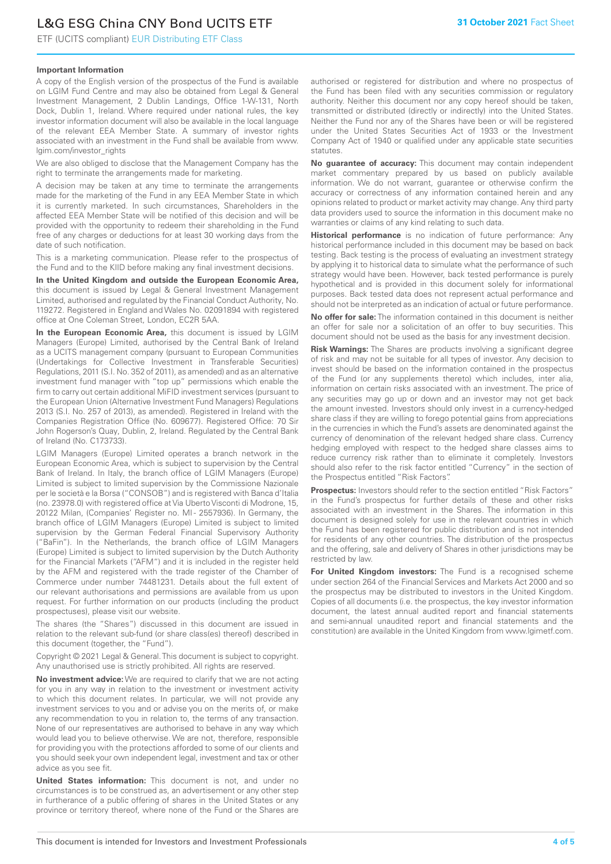### L&G ESG China CNY Bond UCITS ETF

ETF (UCITS compliant) EUR Distributing ETF Class

### **Important Information**

A copy of the English version of the prospectus of the Fund is available on LGIM Fund Centre and may also be obtained from Legal & General Investment Management, 2 Dublin Landings, Office 1-W-131, North Dock, Dublin 1, Ireland. Where required under national rules, the key investor information document will also be available in the local language of the relevant EEA Member State. A summary of investor rights associated with an investment in the Fund shall be available from www. lgim.com/investor\_rights

We are also obliged to disclose that the Management Company has the right to terminate the arrangements made for marketing.

A decision may be taken at any time to terminate the arrangements made for the marketing of the Fund in any EEA Member State in which it is currently marketed. In such circumstances, Shareholders in the affected EEA Member State will be notified of this decision and will be provided with the opportunity to redeem their shareholding in the Fund free of any charges or deductions for at least 30 working days from the date of such notification.

This is a marketing communication. Please refer to the prospectus of the Fund and to the KIID before making any final investment decisions.

**In the United Kingdom and outside the European Economic Area,** this document is issued by Legal & General Investment Management Limited, authorised and regulated by the Financial Conduct Authority, No. 119272. Registered in England and Wales No. 02091894 with registered office at One Coleman Street, London, EC2R 5AA.

**In the European Economic Area,** this document is issued by LGIM Managers (Europe) Limited, authorised by the Central Bank of Ireland as a UCITS management company (pursuant to European Communities (Undertakings for Collective Investment in Transferable Securities) Regulations, 2011 (S.I. No. 352 of 2011), as amended) and as an alternative investment fund manager with "top up" permissions which enable the firm to carry out certain additional MiFID investment services (pursuant to the European Union (Alternative Investment Fund Managers) Regulations 2013 (S.I. No. 257 of 2013), as amended). Registered in Ireland with the Companies Registration Office (No. 609677). Registered Office: 70 Sir John Rogerson's Quay, Dublin, 2, Ireland. Regulated by the Central Bank of Ireland (No. C173733).

LGIM Managers (Europe) Limited operates a branch network in the European Economic Area, which is subject to supervision by the Central Bank of Ireland. In Italy, the branch office of LGIM Managers (Europe) Limited is subject to limited supervision by the Commissione Nazionale per le società e la Borsa ("CONSOB") and is registered with Banca d'Italia (no. 23978.0) with registered office at Via Uberto Visconti di Modrone, 15, 20122 Milan, (Companies' Register no. MI - 2557936). In Germany, the branch office of LGIM Managers (Europe) Limited is subject to limited supervision by the German Federal Financial Supervisory Authority ("BaFin"). In the Netherlands, the branch office of LGIM Managers (Europe) Limited is subject to limited supervision by the Dutch Authority for the Financial Markets ("AFM") and it is included in the register held by the AFM and registered with the trade register of the Chamber of Commerce under number 74481231. Details about the full extent of our relevant authorisations and permissions are available from us upon request. For further information on our products (including the product prospectuses), please visit our website.

The shares (the "Shares") discussed in this document are issued in relation to the relevant sub-fund (or share class(es) thereof) described in this document (together, the "Fund").

Copyright © 2021 Legal & General. This document is subject to copyright. Any unauthorised use is strictly prohibited. All rights are reserved.

**No investment advice:** We are required to clarify that we are not acting for you in any way in relation to the investment or investment activity to which this document relates. In particular, we will not provide any investment services to you and or advise you on the merits of, or make any recommendation to you in relation to, the terms of any transaction. None of our representatives are authorised to behave in any way which would lead you to believe otherwise. We are not, therefore, responsible for providing you with the protections afforded to some of our clients and you should seek your own independent legal, investment and tax or other advice as you see fit.

**United States information:** This document is not, and under no circumstances is to be construed as, an advertisement or any other step in furtherance of a public offering of shares in the United States or any province or territory thereof, where none of the Fund or the Shares are authorised or registered for distribution and where no prospectus of the Fund has been filed with any securities commission or regulatory authority. Neither this document nor any copy hereof should be taken, transmitted or distributed (directly or indirectly) into the United States. Neither the Fund nor any of the Shares have been or will be registered under the United States Securities Act of 1933 or the Investment Company Act of 1940 or qualified under any applicable state securities statutes.

**No guarantee of accuracy:** This document may contain independent market commentary prepared by us based on publicly available information. We do not warrant, guarantee or otherwise confirm the accuracy or correctness of any information contained herein and any opinions related to product or market activity may change. Any third party data providers used to source the information in this document make no warranties or claims of any kind relating to such data.

**Historical performance** is no indication of future performance: Any historical performance included in this document may be based on back testing. Back testing is the process of evaluating an investment strategy by applying it to historical data to simulate what the performance of such strategy would have been. However, back tested performance is purely hypothetical and is provided in this document solely for informational purposes. Back tested data does not represent actual performance and should not be interpreted as an indication of actual or future performance.

**No offer for sale:** The information contained in this document is neither an offer for sale nor a solicitation of an offer to buy securities. This document should not be used as the basis for any investment decision.

**Risk Warnings:** The Shares are products involving a significant degree of risk and may not be suitable for all types of investor. Any decision to invest should be based on the information contained in the prospectus of the Fund (or any supplements thereto) which includes, inter alia, information on certain risks associated with an investment. The price of any securities may go up or down and an investor may not get back the amount invested. Investors should only invest in a currency-hedged share class if they are willing to forego potential gains from appreciations in the currencies in which the Fund's assets are denominated against the currency of denomination of the relevant hedged share class. Currency hedging employed with respect to the hedged share classes aims to reduce currency risk rather than to eliminate it completely. Investors should also refer to the risk factor entitled "Currency" in the section of the Prospectus entitled "Risk Factors".

**Prospectus:** Investors should refer to the section entitled "Risk Factors" in the Fund's prospectus for further details of these and other risks associated with an investment in the Shares. The information in this document is designed solely for use in the relevant countries in which the Fund has been registered for public distribution and is not intended for residents of any other countries. The distribution of the prospectus and the offering, sale and delivery of Shares in other jurisdictions may be restricted by law.

**For United Kingdom investors:** The Fund is a recognised scheme under section 264 of the Financial Services and Markets Act 2000 and so the prospectus may be distributed to investors in the United Kingdom. Copies of all documents (i.e. the prospectus, the key investor information document, the latest annual audited report and financial statements and semi-annual unaudited report and financial statements and the constitution) are available in the United Kingdom from www.lgimetf.com.